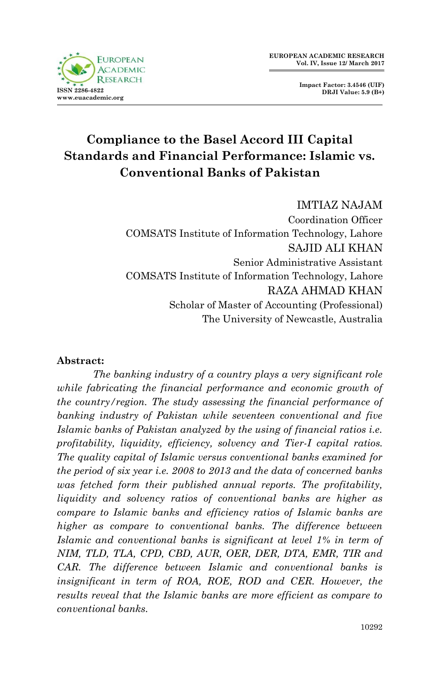

**Impact Factor: 3.4546 (UIF) DRJI Value: 5.9 (B+)**

# **Compliance to the Basel Accord III Capital Standards and Financial Performance: Islamic vs. Conventional Banks of Pakistan**

IMTIAZ NAJAM Coordination Officer COMSATS Institute of Information Technology, Lahore SAJID ALI KHAN Senior Administrative Assistant COMSATS Institute of Information Technology, Lahore RAZA AHMAD KHAN Scholar of Master of Accounting (Professional) The University of Newcastle, Australia

#### **Abstract:**

*The banking industry of a country plays a very significant role while fabricating the financial performance and economic growth of the country/region. The study assessing the financial performance of banking industry of Pakistan while seventeen conventional and five Islamic banks of Pakistan analyzed by the using of financial ratios i.e. profitability, liquidity, efficiency, solvency and Tier-I capital ratios. The quality capital of Islamic versus conventional banks examined for the period of six year i.e. 2008 to 2013 and the data of concerned banks was fetched form their published annual reports. The profitability, liquidity and solvency ratios of conventional banks are higher as compare to Islamic banks and efficiency ratios of Islamic banks are higher as compare to conventional banks. The difference between Islamic and conventional banks is significant at level 1% in term of NIM, TLD, TLA, CPD, CBD, AUR, OER, DER, DTA, EMR, TIR and CAR. The difference between Islamic and conventional banks is*  insignificant in term of ROA, ROE, ROD and CER. However, the *results reveal that the Islamic banks are more efficient as compare to conventional banks.*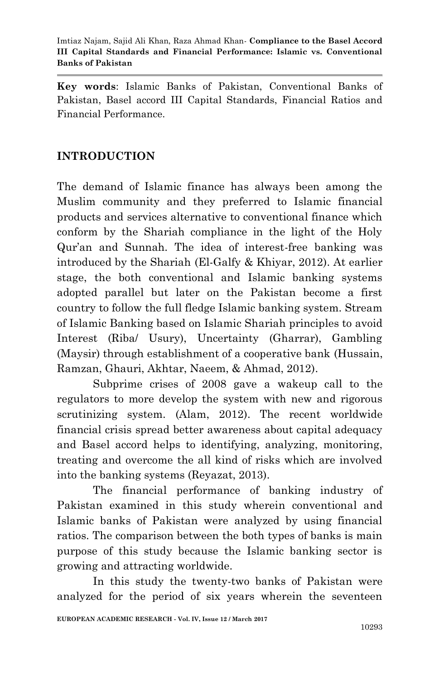**Key words**: Islamic Banks of Pakistan, Conventional Banks of Pakistan, Basel accord III Capital Standards, Financial Ratios and Financial Performance.

# **INTRODUCTION**

The demand of Islamic finance has always been among the Muslim community and they preferred to Islamic financial products and services alternative to conventional finance which conform by the Shariah compliance in the light of the Holy Qur'an and Sunnah. The idea of interest-free banking was introduced by the Shariah (El-Galfy & Khiyar, 2012). At earlier stage, the both conventional and Islamic banking systems adopted parallel but later on the Pakistan become a first country to follow the full fledge Islamic banking system. Stream of Islamic Banking based on Islamic Shariah principles to avoid Interest (Riba/ Usury), Uncertainty (Gharrar), Gambling (Maysir) through establishment of a cooperative bank (Hussain, Ramzan, Ghauri, Akhtar, Naeem, & Ahmad, 2012).

Subprime crises of 2008 gave a wakeup call to the regulators to more develop the system with new and rigorous scrutinizing system. (Alam, 2012). The recent worldwide financial crisis spread better awareness about capital adequacy and Basel accord helps to identifying, analyzing, monitoring, treating and overcome the all kind of risks which are involved into the banking systems (Reyazat, 2013).

The financial performance of banking industry of Pakistan examined in this study wherein conventional and Islamic banks of Pakistan were analyzed by using financial ratios. The comparison between the both types of banks is main purpose of this study because the Islamic banking sector is growing and attracting worldwide.

In this study the twenty-two banks of Pakistan were analyzed for the period of six years wherein the seventeen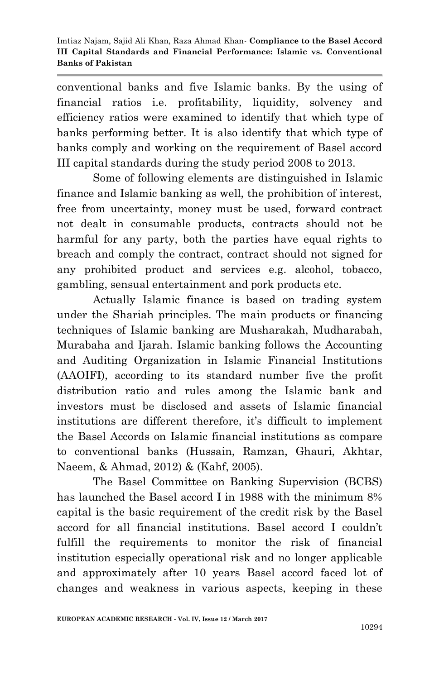conventional banks and five Islamic banks. By the using of financial ratios i.e. profitability, liquidity, solvency and efficiency ratios were examined to identify that which type of banks performing better. It is also identify that which type of banks comply and working on the requirement of Basel accord III capital standards during the study period 2008 to 2013.

Some of following elements are distinguished in Islamic finance and Islamic banking as well, the prohibition of interest, free from uncertainty, money must be used, forward contract not dealt in consumable products, contracts should not be harmful for any party, both the parties have equal rights to breach and comply the contract, contract should not signed for any prohibited product and services e.g. alcohol, tobacco, gambling, sensual entertainment and pork products etc.

Actually Islamic finance is based on trading system under the Shariah principles. The main products or financing techniques of Islamic banking are Musharakah, Mudharabah, Murabaha and Ijarah. Islamic banking follows the Accounting and Auditing Organization in Islamic Financial Institutions (AAOIFI), according to its standard number five the profit distribution ratio and rules among the Islamic bank and investors must be disclosed and assets of Islamic financial institutions are different therefore, it's difficult to implement the Basel Accords on Islamic financial institutions as compare to conventional banks (Hussain, Ramzan, Ghauri, Akhtar, Naeem, & Ahmad, 2012) & (Kahf, 2005).

The Basel Committee on Banking Supervision (BCBS) has launched the Basel accord I in 1988 with the minimum 8% capital is the basic requirement of the credit risk by the Basel accord for all financial institutions. Basel accord I couldn't fulfill the requirements to monitor the risk of financial institution especially operational risk and no longer applicable and approximately after 10 years Basel accord faced lot of changes and weakness in various aspects, keeping in these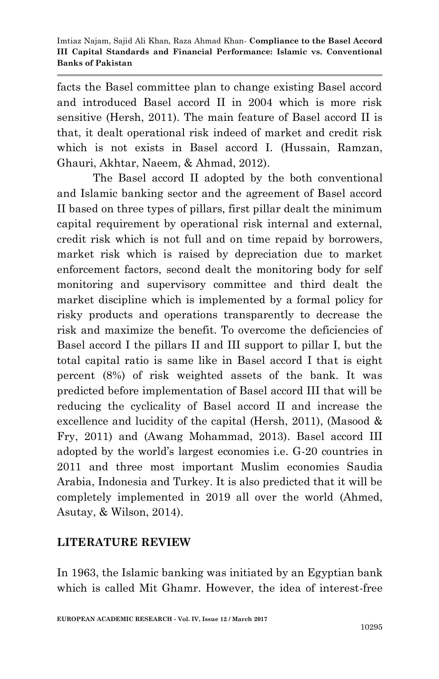facts the Basel committee plan to change existing Basel accord and introduced Basel accord II in 2004 which is more risk sensitive (Hersh, 2011). The main feature of Basel accord II is that, it dealt operational risk indeed of market and credit risk which is not exists in Basel accord I. (Hussain, Ramzan, Ghauri, Akhtar, Naeem, & Ahmad, 2012).

The Basel accord II adopted by the both conventional and Islamic banking sector and the agreement of Basel accord II based on three types of pillars, first pillar dealt the minimum capital requirement by operational risk internal and external, credit risk which is not full and on time repaid by borrowers, market risk which is raised by depreciation due to market enforcement factors, second dealt the monitoring body for self monitoring and supervisory committee and third dealt the market discipline which is implemented by a formal policy for risky products and operations transparently to decrease the risk and maximize the benefit. To overcome the deficiencies of Basel accord I the pillars II and III support to pillar I, but the total capital ratio is same like in Basel accord I that is eight percent (8%) of risk weighted assets of the bank. It was predicted before implementation of Basel accord III that will be reducing the cyclicality of Basel accord II and increase the excellence and lucidity of the capital (Hersh, 2011), (Masood & Fry, 2011) and (Awang Mohammad, 2013). Basel accord III adopted by the world's largest economies i.e. G-20 countries in 2011 and three most important Muslim economies Saudia Arabia, Indonesia and Turkey. It is also predicted that it will be completely implemented in 2019 all over the world (Ahmed, Asutay, & Wilson, 2014).

### **LITERATURE REVIEW**

In 1963, the Islamic banking was initiated by an Egyptian bank which is called Mit Ghamr. However, the idea of interest-free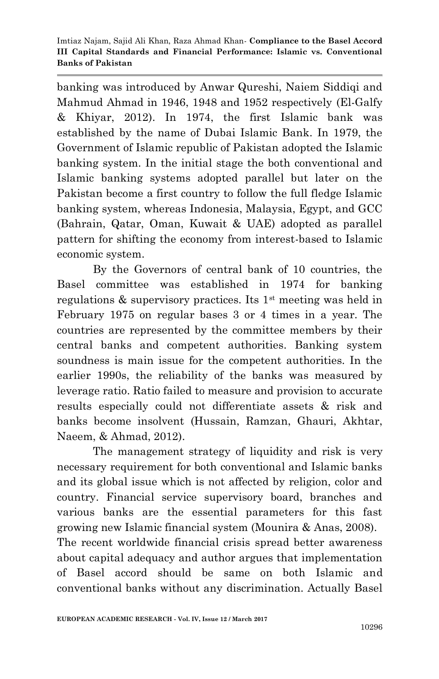banking was introduced by Anwar Qureshi, Naiem Siddiqi and Mahmud Ahmad in 1946, 1948 and 1952 respectively (El-Galfy & Khiyar, 2012). In 1974, the first Islamic bank was established by the name of Dubai Islamic Bank. In 1979, the Government of Islamic republic of Pakistan adopted the Islamic banking system. In the initial stage the both conventional and Islamic banking systems adopted parallel but later on the Pakistan become a first country to follow the full fledge Islamic banking system, whereas Indonesia, Malaysia, Egypt, and GCC (Bahrain, Qatar, Oman, Kuwait & UAE) adopted as parallel pattern for shifting the economy from interest-based to Islamic economic system.

By the Governors of central bank of 10 countries, the Basel committee was established in 1974 for banking regulations  $\&$  supervisory practices. Its 1<sup>st</sup> meeting was held in February 1975 on regular bases 3 or 4 times in a year. The countries are represented by the committee members by their central banks and competent authorities. Banking system soundness is main issue for the competent authorities. In the earlier 1990s, the reliability of the banks was measured by leverage ratio. Ratio failed to measure and provision to accurate results especially could not differentiate assets & risk and banks become insolvent (Hussain, Ramzan, Ghauri, Akhtar, Naeem, & Ahmad, 2012).

The management strategy of liquidity and risk is very necessary requirement for both conventional and Islamic banks and its global issue which is not affected by religion, color and country. Financial service supervisory board, branches and various banks are the essential parameters for this fast growing new Islamic financial system (Mounira & Anas, 2008). The recent worldwide financial crisis spread better awareness about capital adequacy and author argues that implementation of Basel accord should be same on both Islamic and conventional banks without any discrimination. Actually Basel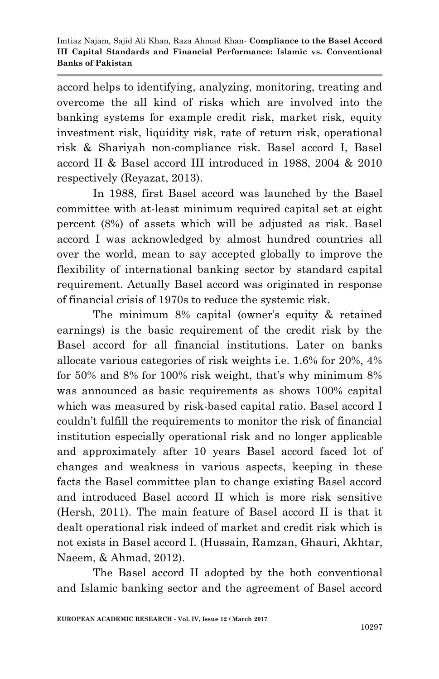accord helps to identifying, analyzing, monitoring, treating and overcome the all kind of risks which are involved into the banking systems for example credit risk, market risk, equity investment risk, liquidity risk, rate of return risk, operational risk & Shariyah non-compliance risk. Basel accord I, Basel accord II & Basel accord III introduced in 1988, 2004 & 2010 respectively (Reyazat, 2013).

In 1988, first Basel accord was launched by the Basel committee with at-least minimum required capital set at eight percent (8%) of assets which will be adjusted as risk. Basel accord I was acknowledged by almost hundred countries all over the world, mean to say accepted globally to improve the flexibility of international banking sector by standard capital requirement. Actually Basel accord was originated in response of financial crisis of 1970s to reduce the systemic risk.

The minimum 8% capital (owner's equity & retained earnings) is the basic requirement of the credit risk by the Basel accord for all financial institutions. Later on banks allocate various categories of risk weights i.e. 1.6% for 20%, 4% for 50% and 8% for 100% risk weight, that's why minimum 8% was announced as basic requirements as shows 100% capital which was measured by risk-based capital ratio. Basel accord I couldn't fulfill the requirements to monitor the risk of financial institution especially operational risk and no longer applicable and approximately after 10 years Basel accord faced lot of changes and weakness in various aspects, keeping in these facts the Basel committee plan to change existing Basel accord and introduced Basel accord II which is more risk sensitive (Hersh, 2011). The main feature of Basel accord II is that it dealt operational risk indeed of market and credit risk which is not exists in Basel accord I. (Hussain, Ramzan, Ghauri, Akhtar, Naeem, & Ahmad, 2012).

The Basel accord II adopted by the both conventional and Islamic banking sector and the agreement of Basel accord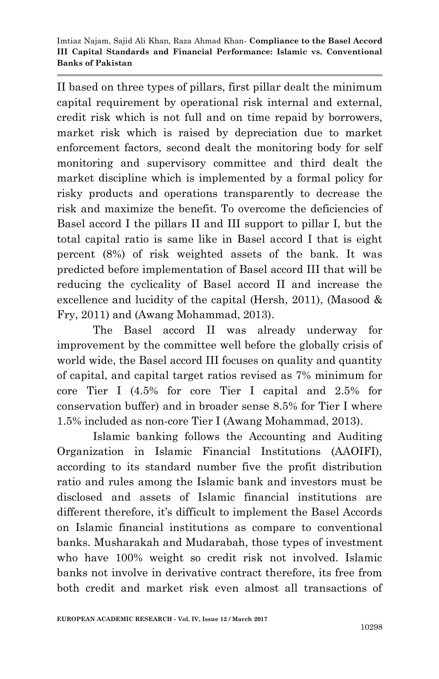II based on three types of pillars, first pillar dealt the minimum capital requirement by operational risk internal and external, credit risk which is not full and on time repaid by borrowers, market risk which is raised by depreciation due to market enforcement factors, second dealt the monitoring body for self monitoring and supervisory committee and third dealt the market discipline which is implemented by a formal policy for risky products and operations transparently to decrease the risk and maximize the benefit. To overcome the deficiencies of Basel accord I the pillars II and III support to pillar I, but the total capital ratio is same like in Basel accord I that is eight percent (8%) of risk weighted assets of the bank. It was predicted before implementation of Basel accord III that will be reducing the cyclicality of Basel accord II and increase the excellence and lucidity of the capital (Hersh, 2011), (Masood & Fry, 2011) and (Awang Mohammad, 2013).

The Basel accord II was already underway for improvement by the committee well before the globally crisis of world wide, the Basel accord III focuses on quality and quantity of capital, and capital target ratios revised as 7% minimum for core Tier I (4.5% for core Tier I capital and 2.5% for conservation buffer) and in broader sense 8.5% for Tier I where 1.5% included as non-core Tier I (Awang Mohammad, 2013).

Islamic banking follows the Accounting and Auditing Organization in Islamic Financial Institutions (AAOIFI), according to its standard number five the profit distribution ratio and rules among the Islamic bank and investors must be disclosed and assets of Islamic financial institutions are different therefore, it's difficult to implement the Basel Accords on Islamic financial institutions as compare to conventional banks. Musharakah and Mudarabah, those types of investment who have 100% weight so credit risk not involved. Islamic banks not involve in derivative contract therefore, its free from both credit and market risk even almost all transactions of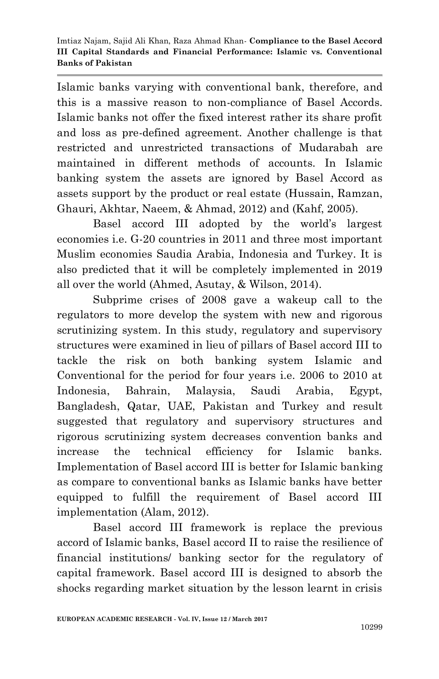Islamic banks varying with conventional bank, therefore, and this is a massive reason to non-compliance of Basel Accords. Islamic banks not offer the fixed interest rather its share profit and loss as pre-defined agreement. Another challenge is that restricted and unrestricted transactions of Mudarabah are maintained in different methods of accounts. In Islamic banking system the assets are ignored by Basel Accord as assets support by the product or real estate (Hussain, Ramzan, Ghauri, Akhtar, Naeem, & Ahmad, 2012) and (Kahf, 2005).

Basel accord III adopted by the world's largest economies i.e. G-20 countries in 2011 and three most important Muslim economies Saudia Arabia, Indonesia and Turkey. It is also predicted that it will be completely implemented in 2019 all over the world (Ahmed, Asutay, & Wilson, 2014).

Subprime crises of 2008 gave a wakeup call to the regulators to more develop the system with new and rigorous scrutinizing system. In this study, regulatory and supervisory structures were examined in lieu of pillars of Basel accord III to tackle the risk on both banking system Islamic and Conventional for the period for four years i.e. 2006 to 2010 at Indonesia, Bahrain, Malaysia, Saudi Arabia, Egypt, Bangladesh, Qatar, UAE, Pakistan and Turkey and result suggested that regulatory and supervisory structures and rigorous scrutinizing system decreases convention banks and increase the technical efficiency for Islamic banks. Implementation of Basel accord III is better for Islamic banking as compare to conventional banks as Islamic banks have better equipped to fulfill the requirement of Basel accord III implementation (Alam, 2012).

Basel accord III framework is replace the previous accord of Islamic banks, Basel accord II to raise the resilience of financial institutions/ banking sector for the regulatory of capital framework. Basel accord III is designed to absorb the shocks regarding market situation by the lesson learnt in crisis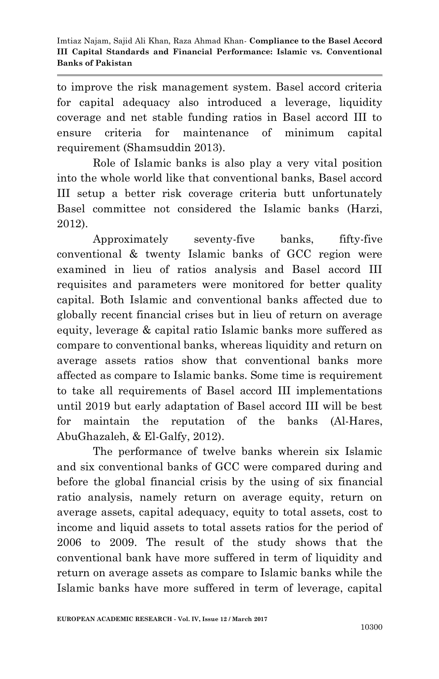to improve the risk management system. Basel accord criteria for capital adequacy also introduced a leverage, liquidity coverage and net stable funding ratios in Basel accord III to ensure criteria for maintenance of minimum capital requirement (Shamsuddin 2013).

Role of Islamic banks is also play a very vital position into the whole world like that conventional banks, Basel accord III setup a better risk coverage criteria butt unfortunately Basel committee not considered the Islamic banks (Harzi, 2012).

Approximately seventy-five banks, fifty-five conventional & twenty Islamic banks of GCC region were examined in lieu of ratios analysis and Basel accord III requisites and parameters were monitored for better quality capital. Both Islamic and conventional banks affected due to globally recent financial crises but in lieu of return on average equity, leverage & capital ratio Islamic banks more suffered as compare to conventional banks, whereas liquidity and return on average assets ratios show that conventional banks more affected as compare to Islamic banks. Some time is requirement to take all requirements of Basel accord III implementations until 2019 but early adaptation of Basel accord III will be best for maintain the reputation of the banks (Al-Hares, AbuGhazaleh, & El-Galfy, 2012).

The performance of twelve banks wherein six Islamic and six conventional banks of GCC were compared during and before the global financial crisis by the using of six financial ratio analysis, namely return on average equity, return on average assets, capital adequacy, equity to total assets, cost to income and liquid assets to total assets ratios for the period of 2006 to 2009. The result of the study shows that the conventional bank have more suffered in term of liquidity and return on average assets as compare to Islamic banks while the Islamic banks have more suffered in term of leverage, capital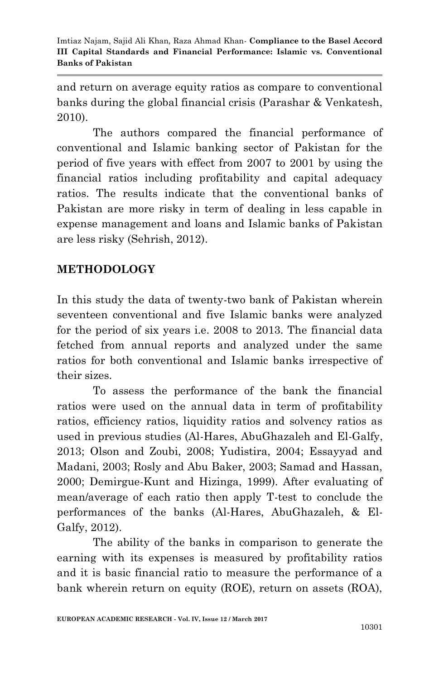and return on average equity ratios as compare to conventional banks during the global financial crisis (Parashar & Venkatesh, 2010).

The authors compared the financial performance of conventional and Islamic banking sector of Pakistan for the period of five years with effect from 2007 to 2001 by using the financial ratios including profitability and capital adequacy ratios. The results indicate that the conventional banks of Pakistan are more risky in term of dealing in less capable in expense management and loans and Islamic banks of Pakistan are less risky (Sehrish, 2012).

### **METHODOLOGY**

In this study the data of twenty-two bank of Pakistan wherein seventeen conventional and five Islamic banks were analyzed for the period of six years i.e. 2008 to 2013. The financial data fetched from annual reports and analyzed under the same ratios for both conventional and Islamic banks irrespective of their sizes.

To assess the performance of the bank the financial ratios were used on the annual data in term of profitability ratios, efficiency ratios, liquidity ratios and solvency ratios as used in previous studies (Al-Hares, AbuGhazaleh and El-Galfy, 2013; Olson and Zoubi, 2008; Yudistira, 2004; Essayyad and Madani, 2003; Rosly and Abu Baker, 2003; Samad and Hassan, 2000; Demirgue-Kunt and Hizinga, 1999). After evaluating of mean/average of each ratio then apply T-test to conclude the performances of the banks (Al-Hares, AbuGhazaleh, & El-Galfy, 2012).

The ability of the banks in comparison to generate the earning with its expenses is measured by profitability ratios and it is basic financial ratio to measure the performance of a bank wherein return on equity (ROE), return on assets (ROA),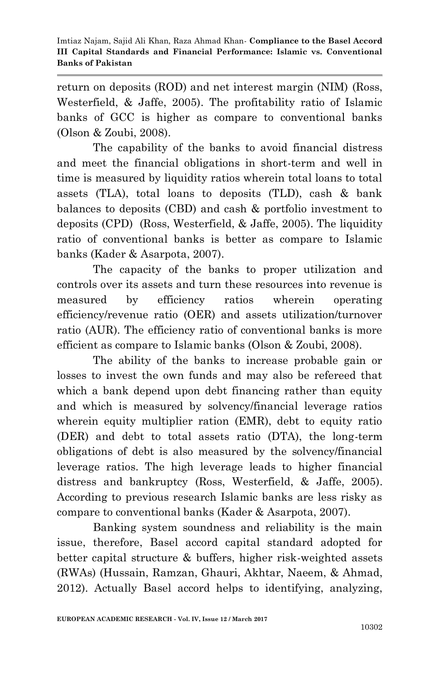return on deposits (ROD) and net interest margin (NIM) (Ross, Westerfield, & Jaffe, 2005). The profitability ratio of Islamic banks of GCC is higher as compare to conventional banks (Olson & Zoubi, 2008).

The capability of the banks to avoid financial distress and meet the financial obligations in short-term and well in time is measured by liquidity ratios wherein total loans to total assets (TLA), total loans to deposits (TLD), cash & bank balances to deposits (CBD) and cash & portfolio investment to deposits (CPD) (Ross, Westerfield, & Jaffe, 2005). The liquidity ratio of conventional banks is better as compare to Islamic banks (Kader & Asarpota, 2007).

The capacity of the banks to proper utilization and controls over its assets and turn these resources into revenue is measured by efficiency ratios wherein operating efficiency/revenue ratio (OER) and assets utilization/turnover ratio (AUR). The efficiency ratio of conventional banks is more efficient as compare to Islamic banks (Olson & Zoubi, 2008).

The ability of the banks to increase probable gain or losses to invest the own funds and may also be refereed that which a bank depend upon debt financing rather than equity and which is measured by solvency/financial leverage ratios wherein equity multiplier ration (EMR), debt to equity ratio (DER) and debt to total assets ratio (DTA), the long-term obligations of debt is also measured by the solvency/financial leverage ratios. The high leverage leads to higher financial distress and bankruptcy (Ross, Westerfield, & Jaffe, 2005). According to previous research Islamic banks are less risky as compare to conventional banks (Kader & Asarpota, 2007).

Banking system soundness and reliability is the main issue, therefore, Basel accord capital standard adopted for better capital structure & buffers, higher risk-weighted assets (RWAs) (Hussain, Ramzan, Ghauri, Akhtar, Naeem, & Ahmad, 2012). Actually Basel accord helps to identifying, analyzing,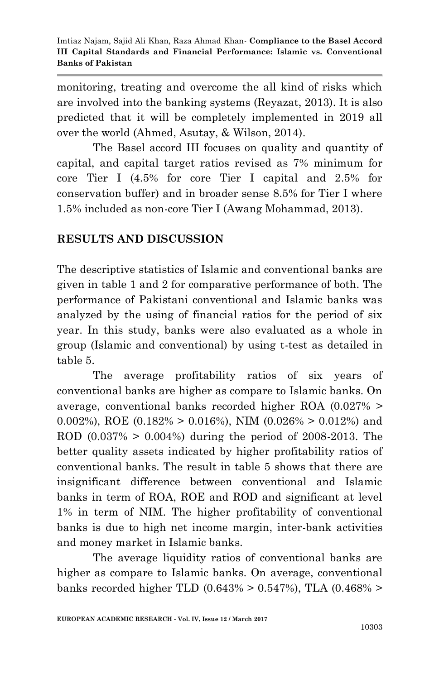monitoring, treating and overcome the all kind of risks which are involved into the banking systems (Reyazat, 2013). It is also predicted that it will be completely implemented in 2019 all over the world (Ahmed, Asutay, & Wilson, 2014).

The Basel accord III focuses on quality and quantity of capital, and capital target ratios revised as 7% minimum for core Tier I (4.5% for core Tier I capital and 2.5% for conservation buffer) and in broader sense 8.5% for Tier I where 1.5% included as non-core Tier I (Awang Mohammad, 2013).

# **RESULTS AND DISCUSSION**

The descriptive statistics of Islamic and conventional banks are given in table 1 and 2 for comparative performance of both. The performance of Pakistani conventional and Islamic banks was analyzed by the using of financial ratios for the period of six year. In this study, banks were also evaluated as a whole in group (Islamic and conventional) by using t-test as detailed in table 5.

The average profitability ratios of six years of conventional banks are higher as compare to Islamic banks. On average, conventional banks recorded higher ROA (0.027% > 0.002%), ROE  $(0.182\% > 0.016\%)$ , NIM  $(0.026\% > 0.012\%)$  and ROD (0.037% > 0.004%) during the period of 2008-2013. The better quality assets indicated by higher profitability ratios of conventional banks. The result in table 5 shows that there are insignificant difference between conventional and Islamic banks in term of ROA, ROE and ROD and significant at level 1% in term of NIM. The higher profitability of conventional banks is due to high net income margin, inter-bank activities and money market in Islamic banks.

The average liquidity ratios of conventional banks are higher as compare to Islamic banks. On average, conventional banks recorded higher TLD  $(0.643\% > 0.547\%)$ , TLA  $(0.468\% >$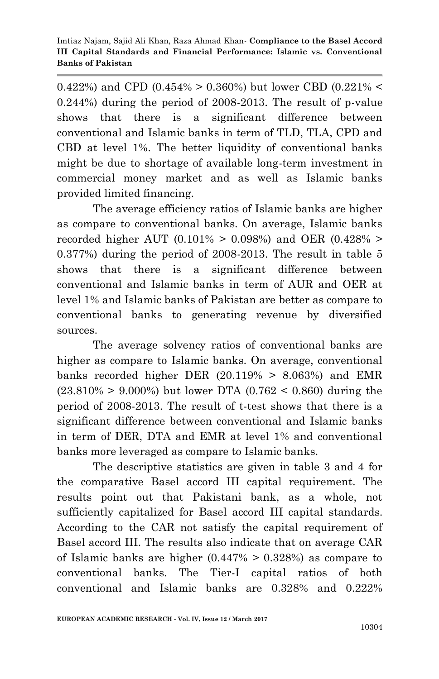0.422%) and CPD (0.454% > 0.360%) but lower CBD (0.221% < 0.244%) during the period of 2008-2013. The result of p-value shows that there is a significant difference between conventional and Islamic banks in term of TLD, TLA, CPD and CBD at level 1%. The better liquidity of conventional banks might be due to shortage of available long-term investment in commercial money market and as well as Islamic banks provided limited financing.

The average efficiency ratios of Islamic banks are higher as compare to conventional banks. On average, Islamic banks recorded higher AUT  $(0.101\% > 0.098\%)$  and OER  $(0.428\% >$ 0.377%) during the period of 2008-2013. The result in table 5 shows that there is a significant difference between conventional and Islamic banks in term of AUR and OER at level 1% and Islamic banks of Pakistan are better as compare to conventional banks to generating revenue by diversified sources.

The average solvency ratios of conventional banks are higher as compare to Islamic banks. On average, conventional banks recorded higher DER  $(20.119\% > 8.063\%)$  and EMR  $(23.810\% > 9.000\%)$  but lower DTA  $(0.762 < 0.860)$  during the period of 2008-2013. The result of t-test shows that there is a significant difference between conventional and Islamic banks in term of DER, DTA and EMR at level 1% and conventional banks more leveraged as compare to Islamic banks.

The descriptive statistics are given in table 3 and 4 for the comparative Basel accord III capital requirement. The results point out that Pakistani bank, as a whole, not sufficiently capitalized for Basel accord III capital standards. According to the CAR not satisfy the capital requirement of Basel accord III. The results also indicate that on average CAR of Islamic banks are higher  $(0.447\% > 0.328\%)$  as compare to conventional banks. The Tier-I capital ratios of both conventional and Islamic banks are 0.328% and 0.222%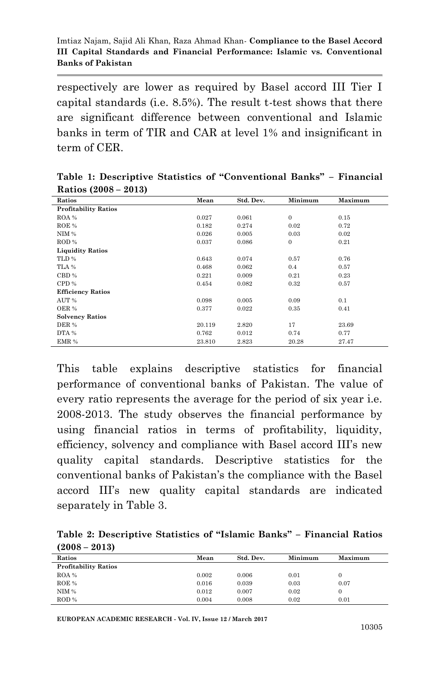respectively are lower as required by Basel accord III Tier I capital standards (i.e. 8.5%). The result t-test shows that there are significant difference between conventional and Islamic banks in term of TIR and CAR at level 1% and insignificant in term of CER.

| $\sim$<br>$- - - -$         |        |           |                |         |
|-----------------------------|--------|-----------|----------------|---------|
| Ratios                      | Mean   | Std. Dev. | Minimum        | Maximum |
| <b>Profitability Ratios</b> |        |           |                |         |
| ROA %                       | 0.027  | 0.061     | $\mathbf{0}$   | 0.15    |
| ROE %                       | 0.182  | 0.274     | 0.02           | 0.72    |
| NIM %                       | 0.026  | 0.005     | 0.03           | 0.02    |
| ROD%                        | 0.037  | 0.086     | $\overline{0}$ | 0.21    |
| <b>Liquidity Ratios</b>     |        |           |                |         |
| TLD%                        | 0.643  | 0.074     | 0.57           | 0.76    |
| TLA %                       | 0.468  | 0.062     | 0.4            | 0.57    |
| CBD %                       | 0.221  | 0.009     | 0.21           | 0.23    |
| CPD %                       | 0.454  | 0.082     | 0.32           | 0.57    |
| <b>Efficiency Ratios</b>    |        |           |                |         |
| AUT %                       | 0.098  | 0.005     | 0.09           | 0.1     |
| OER %                       | 0.377  | 0.022     | 0.35           | 0.41    |
| <b>Solvency Ratios</b>      |        |           |                |         |
| DER %                       | 20.119 | 2.820     | 17             | 23.69   |
| DTA %                       | 0.762  | 0.012     | 0.74           | 0.77    |
| EMR %                       | 23.810 | 2.823     | 20.28          | 27.47   |

**Table 1: Descriptive Statistics of "Conventional Banks" – Financial Ratios (2008 – 2013)**

This table explains descriptive statistics for financial performance of conventional banks of Pakistan. The value of every ratio represents the average for the period of six year i.e. 2008-2013. The study observes the financial performance by using financial ratios in terms of profitability, liquidity, efficiency, solvency and compliance with Basel accord III's new quality capital standards. Descriptive statistics for the conventional banks of Pakistan's the compliance with the Basel accord III's new quality capital standards are indicated separately in Table 3.

|                 | Table 2: Descriptive Statistics of "Islamic Banks" - Financial Ratios |  |  |
|-----------------|-----------------------------------------------------------------------|--|--|
| $(2008 - 2013)$ |                                                                       |  |  |

| Ratios                      | Mean  | Std. Dev. | Minimum | Maximum |
|-----------------------------|-------|-----------|---------|---------|
| <b>Profitability Ratios</b> |       |           |         |         |
| ROA %                       | 0.002 | 0.006     | 0.01    |         |
| ROE %                       | 0.016 | 0.039     | 0.03    | 0.07    |
| NIM %                       | 0.012 | 0.007     | 0.02    |         |
| ROD %                       | 0.004 | 0.008     | 0.02    | 0.01    |

**EUROPEAN ACADEMIC RESEARCH - Vol. IV, Issue 12 / March 2017**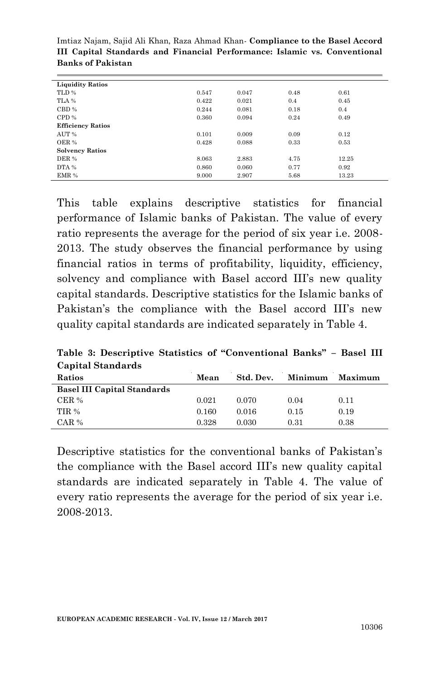| <b>Liquidity Ratios</b>  |       |       |      |       |
|--------------------------|-------|-------|------|-------|
| TLD %                    | 0.547 | 0.047 | 0.48 | 0.61  |
| TLA %                    | 0.422 | 0.021 | 0.4  | 0.45  |
| CBD %                    | 0.244 | 0.081 | 0.18 | 0.4   |
| CPD %                    | 0.360 | 0.094 | 0.24 | 0.49  |
| <b>Efficiency Ratios</b> |       |       |      |       |
| AUT %                    | 0.101 | 0.009 | 0.09 | 0.12  |
| OER %                    | 0.428 | 0.088 | 0.33 | 0.53  |
| <b>Solvency Ratios</b>   |       |       |      |       |
| DER %                    | 8.063 | 2.883 | 4.75 | 12.25 |
| DTA %                    | 0.860 | 0.060 | 0.77 | 0.92  |
| EMR %                    | 9.000 | 2.907 | 5.68 | 13.23 |

This table explains descriptive statistics for financial performance of Islamic banks of Pakistan. The value of every ratio represents the average for the period of six year i.e. 2008- 2013. The study observes the financial performance by using financial ratios in terms of profitability, liquidity, efficiency, solvency and compliance with Basel accord III's new quality capital standards. Descriptive statistics for the Islamic banks of Pakistan's the compliance with the Basel accord III's new quality capital standards are indicated separately in Table 4.

**Table 3: Descriptive Statistics of "Conventional Banks" – Basel III Capital Standards**

| Ratios                             | Mean  | Std. Dev. | Minimum | Maximum |
|------------------------------------|-------|-----------|---------|---------|
| <b>Basel III Capital Standards</b> |       |           |         |         |
| CER %                              | 0.021 | 0.070     | 0.04    | 0.11    |
| TIR %                              | 0.160 | 0.016     | 0.15    | 0.19    |
| $CAR$ %                            | 0.328 | 0.030     | 0.31    | 0.38    |
|                                    |       |           |         |         |

Descriptive statistics for the conventional banks of Pakistan's the compliance with the Basel accord III's new quality capital standards are indicated separately in Table 4. The value of every ratio represents the average for the period of six year i.e. 2008-2013.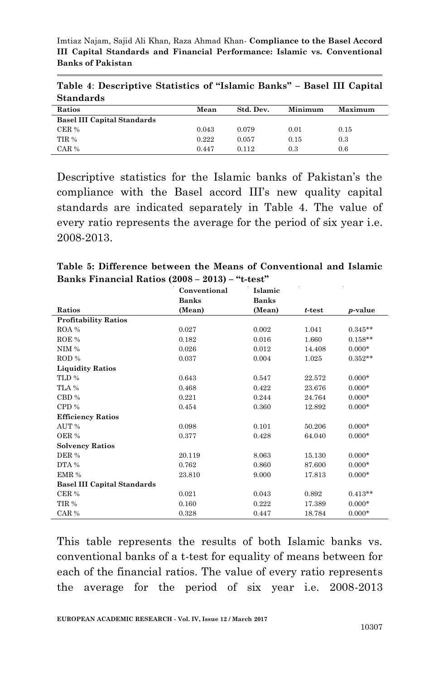|                  | Table 4: Descriptive Statistics of "Islamic Banks" - Basel III Capital |  |  |  |  |
|------------------|------------------------------------------------------------------------|--|--|--|--|
| <b>Standards</b> |                                                                        |  |  |  |  |

| -----------                        |       |           |         |                |  |
|------------------------------------|-------|-----------|---------|----------------|--|
| Ratios                             | Mean  | Std. Dev. | Minimum | <b>Maximum</b> |  |
| <b>Basel III Capital Standards</b> |       |           |         |                |  |
| CER %                              | 0.043 | 0.079     | 0.01    | 0.15           |  |
| TIR %                              | 0.222 | 0.057     | 0.15    | 0.3            |  |
| $CAR$ %                            | 0.447 | 0.112     | 0.3     | 0.6            |  |

Descriptive statistics for the Islamic banks of Pakistan's the compliance with the Basel accord III's new quality capital standards are indicated separately in Table 4. The value of every ratio represents the average for the period of six year i.e. 2008-2013.

**Table 5: Difference between the Means of Conventional and Islamic Banks Financial Ratios (2008 – 2013) – "t-test"**

|                                    | Conventional | Islamic      |           |                 |
|------------------------------------|--------------|--------------|-----------|-----------------|
|                                    | <b>Banks</b> | <b>Banks</b> |           |                 |
| Ratios                             | (Mean)       | (Mean)       | $t$ -test | <i>p</i> -value |
| <b>Profitability Ratios</b>        |              |              |           |                 |
| ROA %                              | 0.027        | 0.002        | 1.041     | $0.345**$       |
| ROE %                              | 0.182        | 0.016        | 1.660     | $0.158**$       |
| NIM%                               | 0.026        | 0.012        | 14.408    | $0.000*$        |
| ROD %                              | 0.037        | 0.004        | 1.025     | $0.352**$       |
| <b>Liquidity Ratios</b>            |              |              |           |                 |
| TLD %                              | 0.643        | 0.547        | 22.572    | $0.000*$        |
| TLA %                              | 0.468        | 0.422        | 23.676    | $0.000*$        |
| CBD %                              | 0.221        | 0.244        | 24.764    | $0.000*$        |
| CPD %                              | 0.454        | 0.360        | 12.892    | $0.000*$        |
| <b>Efficiency Ratios</b>           |              |              |           |                 |
| AUT %                              | 0.098        | 0.101        | 50.206    | $0.000*$        |
| OER %                              | 0.377        | 0.428        | 64.040    | $0.000*$        |
| <b>Solvency Ratios</b>             |              |              |           |                 |
| DER %                              | 20.119       | 8.063        | 15.130    | $0.000*$        |
| $DTA$ %                            | 0.762        | 0.860        | 87.600    | $0.000*$        |
| EMR %                              | 23.810       | 9.000        | 17.813    | $0.000*$        |
| <b>Basel III Capital Standards</b> |              |              |           |                 |
| CER %                              | 0.021        | 0.043        | 0.892     | $0.413**$       |
| TIR %                              | 0.160        | 0.222        | 17.389    | $0.000*$        |
| CAR %                              | 0.328        | 0.447        | 18.784    | $0.000*$        |

This table represents the results of both Islamic banks vs. conventional banks of a t-test for equality of means between for each of the financial ratios. The value of every ratio represents the average for the period of six year i.e. 2008-2013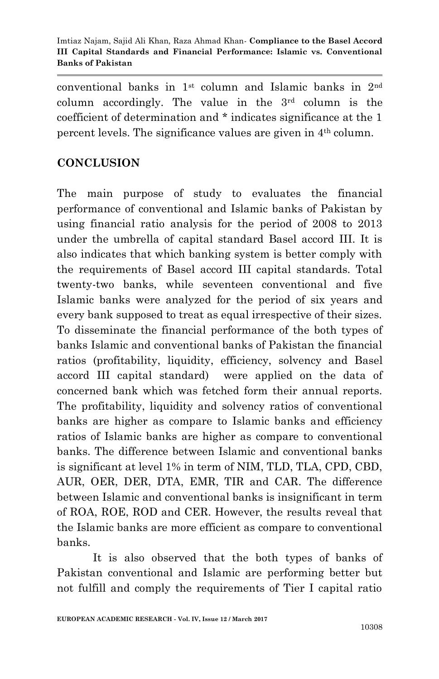conventional banks in 1st column and Islamic banks in 2nd column accordingly. The value in the  $3<sup>rd</sup>$  column is the coefficient of determination and \* indicates significance at the 1 percent levels. The significance values are given in 4th column.

# **CONCLUSION**

The main purpose of study to evaluates the financial performance of conventional and Islamic banks of Pakistan by using financial ratio analysis for the period of 2008 to 2013 under the umbrella of capital standard Basel accord III. It is also indicates that which banking system is better comply with the requirements of Basel accord III capital standards. Total twenty-two banks, while seventeen conventional and five Islamic banks were analyzed for the period of six years and every bank supposed to treat as equal irrespective of their sizes. To disseminate the financial performance of the both types of banks Islamic and conventional banks of Pakistan the financial ratios (profitability, liquidity, efficiency, solvency and Basel accord III capital standard) were applied on the data of concerned bank which was fetched form their annual reports. The profitability, liquidity and solvency ratios of conventional banks are higher as compare to Islamic banks and efficiency ratios of Islamic banks are higher as compare to conventional banks. The difference between Islamic and conventional banks is significant at level 1% in term of NIM, TLD, TLA, CPD, CBD, AUR, OER, DER, DTA, EMR, TIR and CAR. The difference between Islamic and conventional banks is insignificant in term of ROA, ROE, ROD and CER. However, the results reveal that the Islamic banks are more efficient as compare to conventional banks.

It is also observed that the both types of banks of Pakistan conventional and Islamic are performing better but not fulfill and comply the requirements of Tier I capital ratio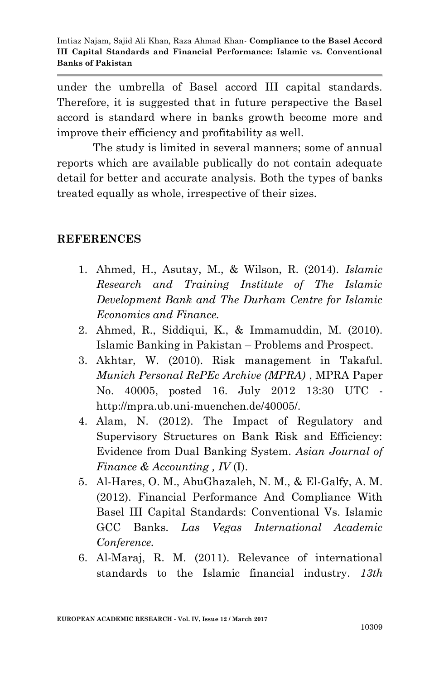under the umbrella of Basel accord III capital standards. Therefore, it is suggested that in future perspective the Basel accord is standard where in banks growth become more and improve their efficiency and profitability as well.

The study is limited in several manners; some of annual reports which are available publically do not contain adequate detail for better and accurate analysis. Both the types of banks treated equally as whole, irrespective of their sizes.

#### **REFERENCES**

- 1. Ahmed, H., Asutay, M., & Wilson, R. (2014). *Islamic Research and Training Institute of The Islamic Development Bank and The Durham Centre for Islamic Economics and Finance.*
- 2. Ahmed, R., Siddiqui, K., & Immamuddin, M. (2010). Islamic Banking in Pakistan – Problems and Prospect.
- 3. Akhtar, W. (2010). Risk management in Takaful. *Munich Personal RePEc Archive (MPRA)* , MPRA Paper No. 40005, posted 16. July 2012 13:30 UTC http://mpra.ub.uni-muenchen.de/40005/.
- 4. Alam, N. (2012). The Impact of Regulatory and Supervisory Structures on Bank Risk and Efficiency: Evidence from Dual Banking System. *Asian Journal of Finance & Accounting , IV* (I).
- 5. Al-Hares, O. M., AbuGhazaleh, N. M., & El-Galfy, A. M. (2012). Financial Performance And Compliance With Basel III Capital Standards: Conventional Vs. Islamic GCC Banks. *Las Vegas International Academic Conference.*
- 6. Al-Maraj, R. M. (2011). Relevance of international standards to the Islamic financial industry. *13th*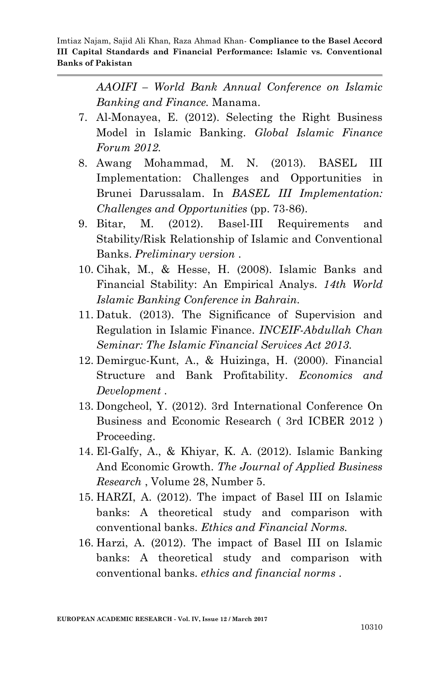*AAOIFI – World Bank Annual Conference on Islamic Banking and Finance.* Manama.

- 7. Al-Monayea, E. (2012). Selecting the Right Business Model in Islamic Banking. *Global Islamic Finance Forum 2012.*
- 8. Awang Mohammad, M. N. (2013). BASEL III Implementation: Challenges and Opportunities in Brunei Darussalam. In *BASEL III Implementation: Challenges and Opportunities* (pp. 73-86).
- 9. Bitar, M. (2012). Basel-III Requirements and Stability/Risk Relationship of Islamic and Conventional Banks. *Preliminary version* .
- 10. Cihak, M., & Hesse, H. (2008). Islamic Banks and Financial Stability: An Empirical Analys. *14th World Islamic Banking Conference in Bahrain.*
- 11. Datuk. (2013). The Significance of Supervision and Regulation in Islamic Finance. *INCEIF-Abdullah Chan Seminar: The Islamic Financial Services Act 2013.*
- 12. Demirguc-Kunt, A., & Huizinga, H. (2000). Financial Structure and Bank Profitability. *Economics and Development* .
- 13. Dongcheol, Y. (2012). 3rd International Conference On Business and Economic Research ( 3rd ICBER 2012 ) Proceeding.
- 14. El-Galfy, A., & Khiyar, K. A. (2012). Islamic Banking And Economic Growth. *The Journal of Applied Business Research* , Volume 28, Number 5.
- 15. HARZI, A. (2012). The impact of Basel III on Islamic banks: A theoretical study and comparison with conventional banks. *Ethics and Financial Norms.*
- 16. Harzi, A. (2012). The impact of Basel III on Islamic banks: A theoretical study and comparison with conventional banks. *ethics and financial norms* .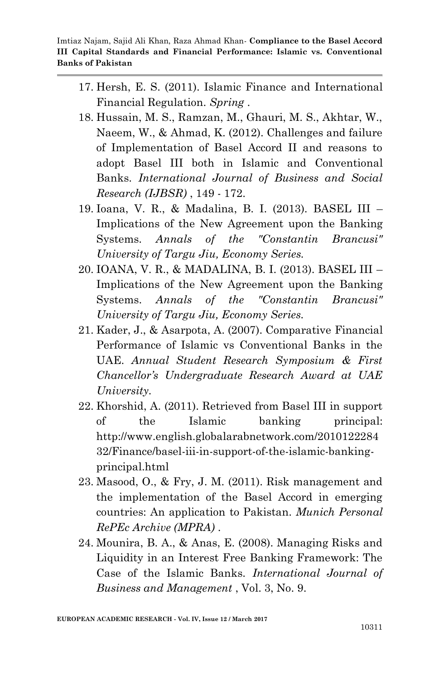- 17. Hersh, E. S. (2011). Islamic Finance and International Financial Regulation. *Spring* .
- 18. Hussain, M. S., Ramzan, M., Ghauri, M. S., Akhtar, W., Naeem, W., & Ahmad, K. (2012). Challenges and failure of Implementation of Basel Accord II and reasons to adopt Basel III both in Islamic and Conventional Banks. *International Journal of Business and Social Research (IJBSR)* , 149 - 172.
- 19. Ioana, V. R., & Madalina, B. I. (2013). BASEL III Implications of the New Agreement upon the Banking Systems. *Annals of the "Constantin Brancusi" University of Targu Jiu, Economy Series.*
- 20. IOANA, V. R., & MADALINA, B. I. (2013). BASEL III Implications of the New Agreement upon the Banking Systems. *Annals of the "Constantin Brancusi" University of Targu Jiu, Economy Series.*
- 21. Kader, J., & Asarpota, A. (2007). Comparative Financial Performance of Islamic vs Conventional Banks in the UAE. *Annual Student Research Symposium & First Chancellor's Undergraduate Research Award at UAE University.*
- 22. Khorshid, A. (2011). Retrieved from Basel III in support of the Islamic banking principal: http://www.english.globalarabnetwork.com/2010122284 32/Finance/basel-iii-in-support-of-the-islamic-bankingprincipal.html
- 23. Masood, O., & Fry, J. M. (2011). Risk management and the implementation of the Basel Accord in emerging countries: An application to Pakistan. *Munich Personal RePEc Archive (MPRA)* .
- 24. Mounira, B. A., & Anas, E. (2008). Managing Risks and Liquidity in an Interest Free Banking Framework: The Case of the Islamic Banks. *International Journal of Business and Management* , Vol. 3, No. 9.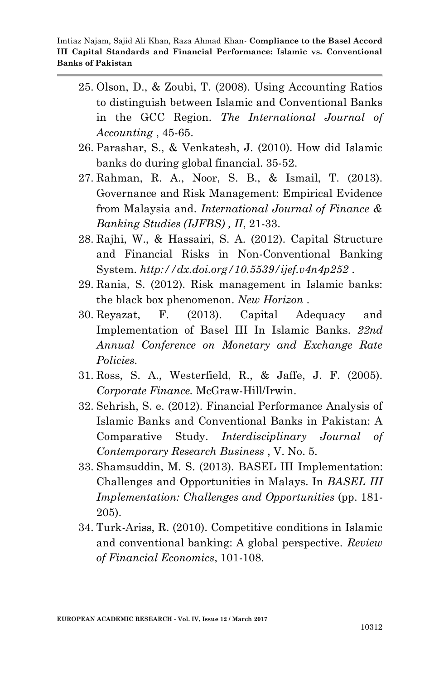- 25. Olson, D., & Zoubi, T. (2008). Using Accounting Ratios to distinguish between Islamic and Conventional Banks in the GCC Region. *The International Journal of Accounting* , 45-65.
- 26. Parashar, S., & Venkatesh, J. (2010). How did Islamic banks do during global financial. 35-52.
- 27. Rahman, R. A., Noor, S. B., & Ismail, T. (2013). Governance and Risk Management: Empirical Evidence from Malaysia and. *International Journal of Finance & Banking Studies (IJFBS) , II*, 21-33.
- 28. Rajhi, W., & Hassairi, S. A. (2012). Capital Structure and Financial Risks in Non-Conventional Banking System. *http://dx.doi.org/10.5539/ijef.v4n4p252* .
- 29. Rania, S. (2012). Risk management in Islamic banks: the black box phenomenon. *New Horizon* .
- 30. Reyazat, F. (2013). Capital Adequacy and Implementation of Basel III In Islamic Banks. *22nd Annual Conference on Monetary and Exchange Rate Policies.*
- 31. Ross, S. A., Westerfield, R., & Jaffe, J. F. (2005). *Corporate Finance.* McGraw-Hill/Irwin.
- 32. Sehrish, S. e. (2012). Financial Performance Analysis of Islamic Banks and Conventional Banks in Pakistan: A Comparative Study. *Interdisciplinary Journal of Contemporary Research Business* , V. No. 5.
- 33. Shamsuddin, M. S. (2013). BASEL III Implementation: Challenges and Opportunities in Malays. In *BASEL III Implementation: Challenges and Opportunities* (pp. 181- 205).
- 34. Turk-Ariss, R. (2010). Competitive conditions in Islamic and conventional banking: A global perspective. *Review of Financial Economics*, 101-108.